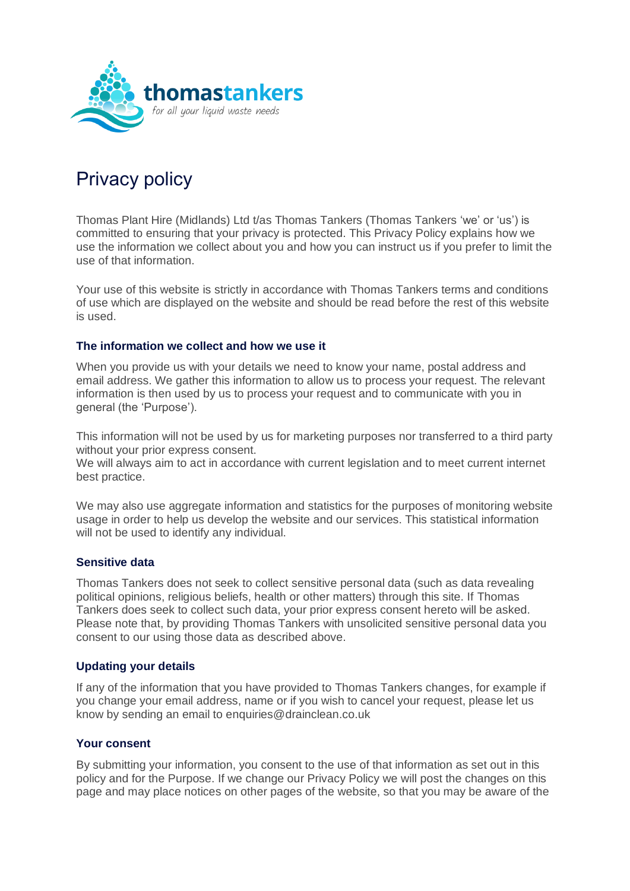

# Privacy policy

Thomas Plant Hire (Midlands) Ltd t/as Thomas Tankers (Thomas Tankers 'we' or 'us') is committed to ensuring that your privacy is protected. This Privacy Policy explains how we use the information we collect about you and how you can instruct us if you prefer to limit the use of that information.

Your use of this website is strictly in accordance with Thomas Tankers terms and conditions of use which are displayed on the website and should be read before the rest of this website is used.

## **The information we collect and how we use it**

When you provide us with your details we need to know your name, postal address and email address. We gather this information to allow us to process your request. The relevant information is then used by us to process your request and to communicate with you in general (the 'Purpose').

This information will not be used by us for marketing purposes nor transferred to a third party without your prior express consent.

We will always aim to act in accordance with current legislation and to meet current internet best practice.

We may also use aggregate information and statistics for the purposes of monitoring website usage in order to help us develop the website and our services. This statistical information will not be used to identify any individual.

#### **Sensitive data**

Thomas Tankers does not seek to collect sensitive personal data (such as data revealing political opinions, religious beliefs, health or other matters) through this site. If Thomas Tankers does seek to collect such data, your prior express consent hereto will be asked. Please note that, by providing Thomas Tankers with unsolicited sensitive personal data you consent to our using those data as described above.

## **Updating your details**

If any of the information that you have provided to Thomas Tankers changes, for example if you change your email address, name or if you wish to cancel your request, please let us know by sending an email to enquiries@drainclean.co.uk

## **Your consent**

By submitting your information, you consent to the use of that information as set out in this policy and for the Purpose. If we change our Privacy Policy we will post the changes on this page and may place notices on other pages of the website, so that you may be aware of the